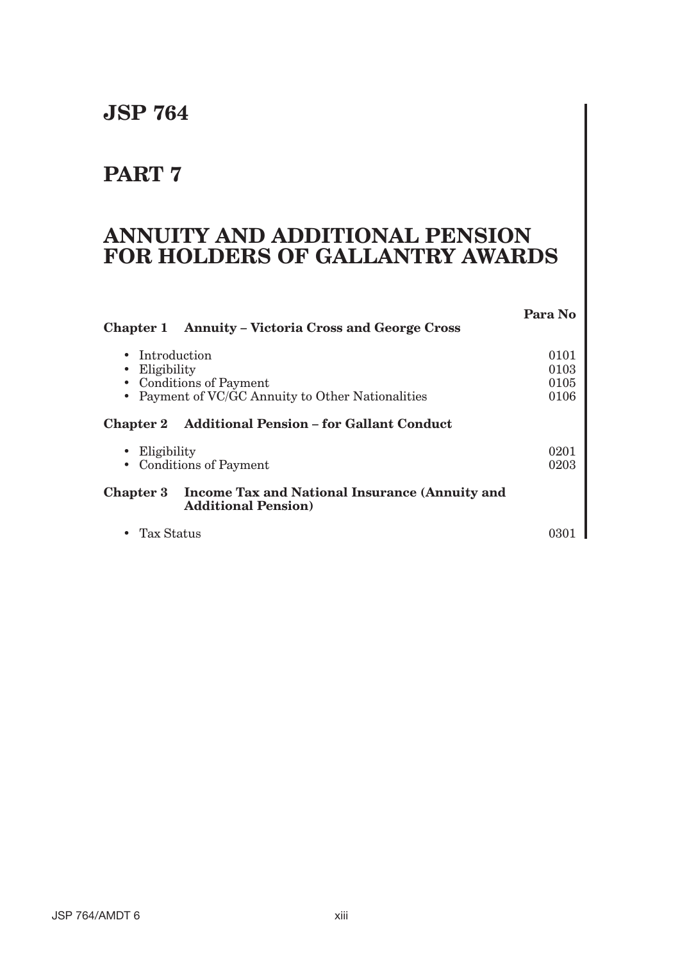# **JSP 764**

# **PART 7**

## **ANNUITY AND ADDITIONAL PENSION FOR HOLDERS OF GALLANTRY AWARDS**

| <b>Annuity - Victoria Cross and George Cross</b><br><b>Chapter 1</b>                                           | Para No                      |
|----------------------------------------------------------------------------------------------------------------|------------------------------|
| Introduction<br>Eligibility<br><b>Conditions of Payment</b><br>Payment of VC/GC Annuity to Other Nationalities | 0101<br>0103<br>0105<br>0106 |
| <b>Additional Pension - for Gallant Conduct</b><br><b>Chapter 2</b>                                            |                              |
| Eligibility<br><b>Conditions of Payment</b>                                                                    | 0201<br>0203                 |
| Income Tax and National Insurance (Annuity and<br><b>Chapter 3</b><br><b>Additional Pension</b> )              |                              |
| Tax Status                                                                                                     | 0301                         |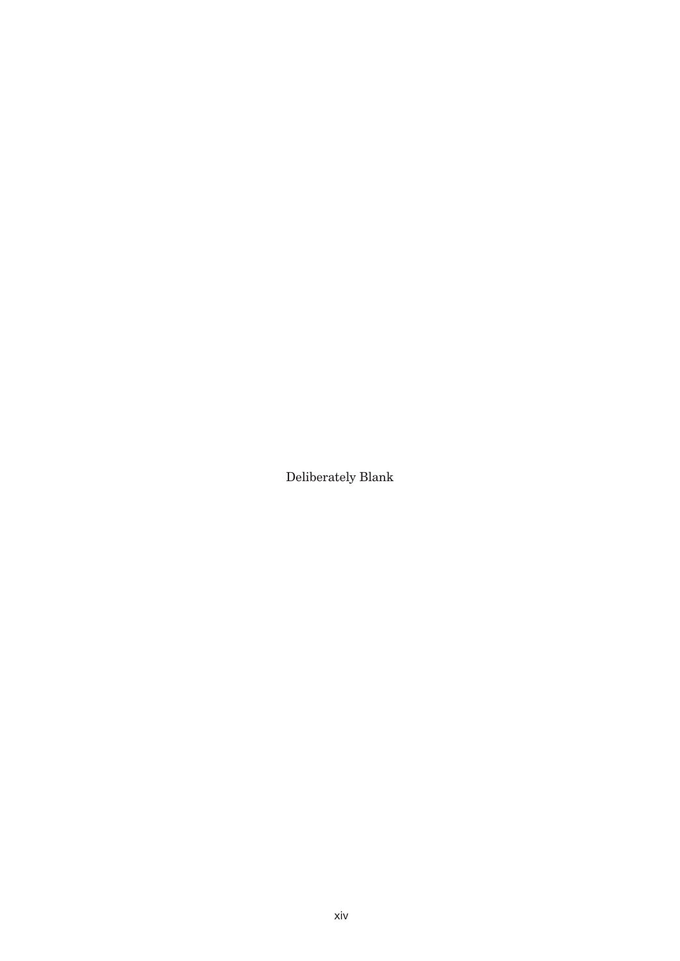Deliberately Blank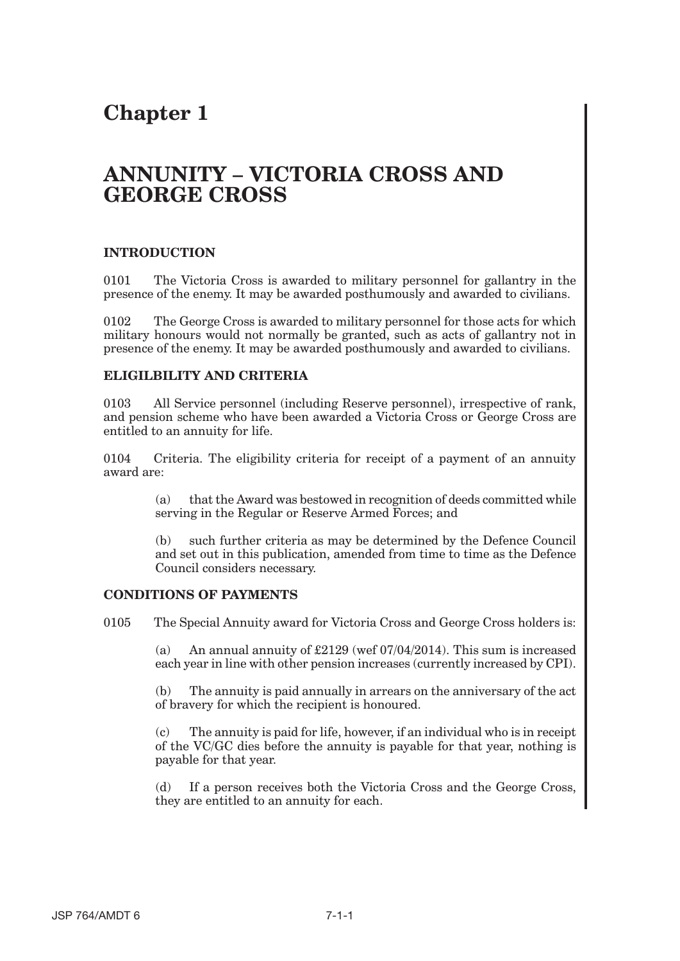# **Chapter 1**

## **ANNUNITY – VICTORIA CROSS AND GEORGE CROSS**

### **INTRODUCTION**

0101 The Victoria Cross is awarded to military personnel for gallantry in the presence of the enemy. It may be awarded posthumously and awarded to civilians.

0102 The George Cross is awarded to military personnel for those acts for which military honours would not normally be granted, such as acts of gallantry not in presence of the enemy. It may be awarded posthumously and awarded to civilians.

### **ELIGILBILITY AND CRITERIA**

0103 All Service personnel (including Reserve personnel), irrespective of rank, and pension scheme who have been awarded a Victoria Cross or George Cross are entitled to an annuity for life.

0104 Criteria. The eligibility criteria for receipt of a payment of an annuity award are:

> (a) that the Award was bestowed in recognition of deeds committed while serving in the Regular or Reserve Armed Forces; and

> (b) such further criteria as may be determined by the Defence Council and set out in this publication, amended from time to time as the Defence Council considers necessary.

### **CONDITIONS OF PAYMENTS**

0105 The Special Annuity award for Victoria Cross and George Cross holders is:

(a) An annual annuity of  $\pounds2129$  (wef 07/04/2014). This sum is increased each year in line with other pension increases (currently increased by CPI).

(b) The annuity is paid annually in arrears on the anniversary of the act of bravery for which the recipient is honoured.

(c) The annuity is paid for life, however, if an individual who is in receipt of the VC/GC dies before the annuity is payable for that year, nothing is payable for that year.

(d) If a person receives both the Victoria Cross and the George Cross, they are entitled to an annuity for each.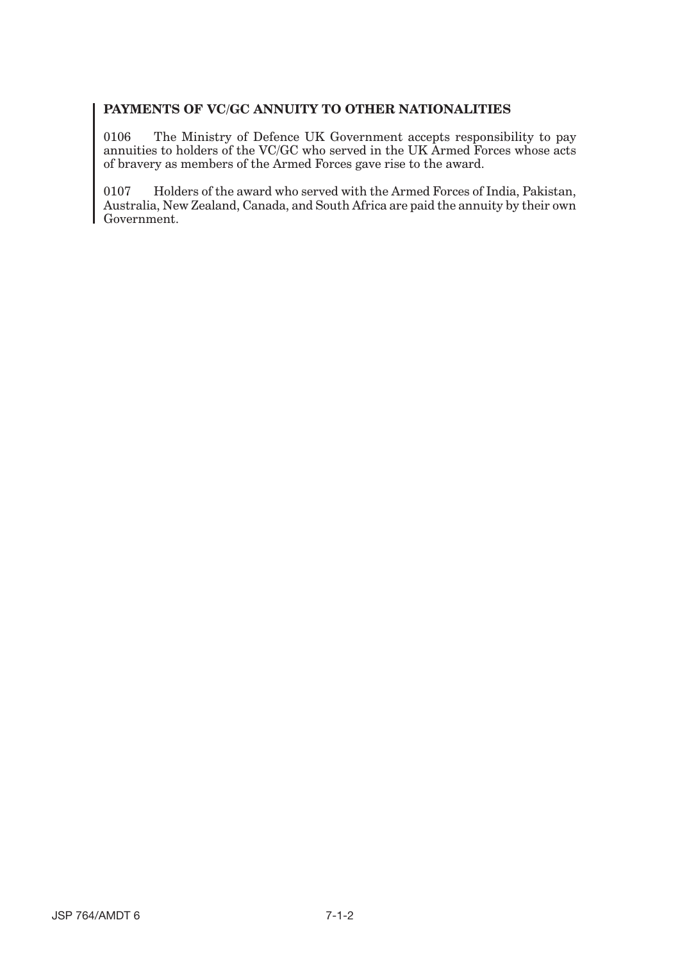### **PAYMENTS OF VC/GC ANNUITY TO OTHER NATIONALITIES**

0106 The Ministry of Defence UK Government accepts responsibility to pay annuities to holders of the VC/GC who served in the UK Armed Forces whose acts of bravery as members of the Armed Forces gave rise to the award.

0107 Holders of the award who served with the Armed Forces of India, Pakistan, Australia, New Zealand, Canada, and South Africa are paid the annuity by their own Government.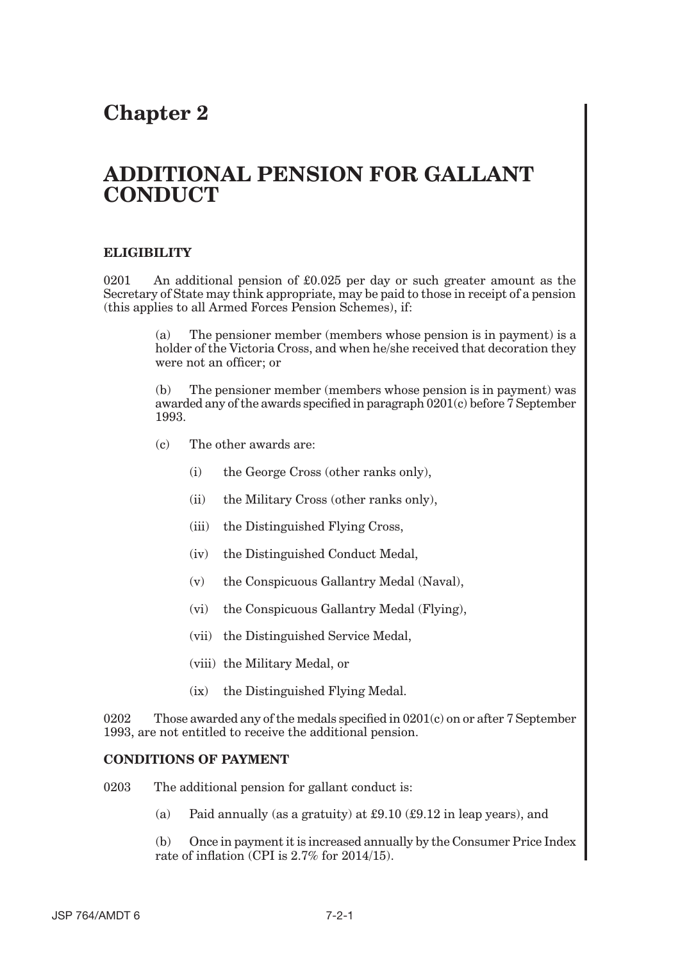## **Chapter 2**

## **ADDITIONAL PENSION FOR GALLANT CONDUCT**

### **ELIGIBILITY**

0201 An additional pension of £0.025 per day or such greater amount as the Secretary of State may think appropriate, may be paid to those in receipt of a pension (this applies to all Armed Forces Pension Schemes), if:

> (a) The pensioner member (members whose pension is in payment) is a holder of the Victoria Cross, and when he/she received that decoration they were not an officer; or

> (b) The pensioner member (members whose pension is in payment) was awarded any of the awards specified in paragraph 0201(c) before 7 September 1993.

- (c) The other awards are:
	- (i) the George Cross (other ranks only),
	- (ii) the Military Cross (other ranks only),
	- (iii) the Distinguished Flying Cross,
	- (iv) the Distinguished Conduct Medal,
	- (v) the Conspicuous Gallantry Medal (Naval),
	- (vi) the Conspicuous Gallantry Medal (Flying),
	- (vii) the Distinguished Service Medal,
	- (viii) the Military Medal, or
	- (ix) the Distinguished Flying Medal.

0202 Those awarded any of the medals specified in 0201(c) on or after 7 September 1993, are not entitled to receive the additional pension.

### **CONDITIONS OF PAYMENT**

0203 The additional pension for gallant conduct is:

(a) Paid annually (as a gratuity) at £9.10 (£9.12 in leap years), and

(b) Once in payment it is increased annually by the Consumer Price Index rate of inflation (CPI is 2.7% for 2014/15).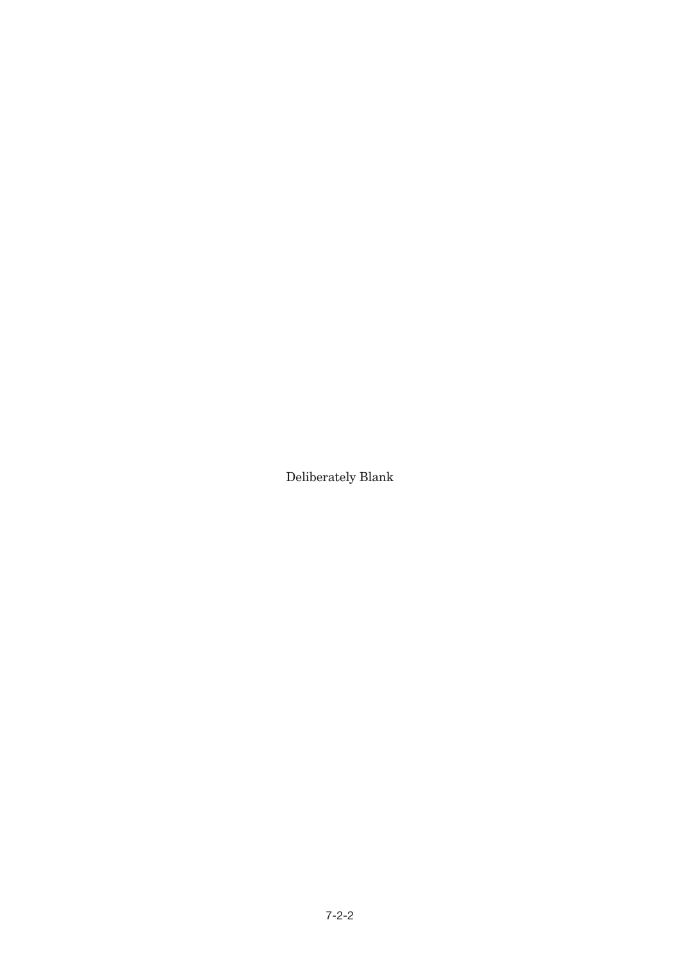Deliberately Blank